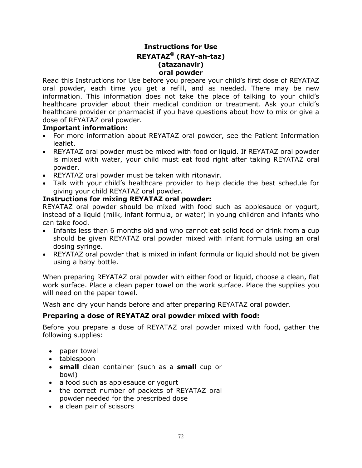# **Instructions for Use REYATAZ (RAY-ah-taz) (atazanavir) oral powder**

Read this Instructions for Use before you prepare your child's first dose of REYATAZ oral powder, each time you get a refill, and as needed. There may be new information. This information does not take the place of talking to your child's healthcare provider about their medical condition or treatment. Ask your child's healthcare provider or pharmacist if you have questions about how to mix or give a dose of REYATAZ oral powder.

### **Important information:**

- For more information about REYATAZ oral powder, see the Patient Information leaflet.
- REYATAZ oral powder must be mixed with food or liquid. If REYATAZ oral powder is mixed with water, your child must eat food right after taking REYATAZ oral powder.
- REYATAZ oral powder must be taken with ritonavir.
- Talk with your child's healthcare provider to help decide the best schedule for giving your child REYATAZ oral powder.

# **Instructions for mixing REYATAZ oral powder:**

REYATAZ oral powder should be mixed with food such as applesauce or yogurt, instead of a liquid (milk, infant formula, or water) in young children and infants who can take food.

- Infants less than 6 months old and who cannot eat solid food or drink from a cup should be given REYATAZ oral powder mixed with infant formula using an oral dosing syringe.
- REYATAZ oral powder that is mixed in infant formula or liquid should not be given using a baby bottle.

When preparing REYATAZ oral powder with either food or liquid, choose a clean, flat work surface. Place a clean paper towel on the work surface. Place the supplies you will need on the paper towel.

Wash and dry your hands before and after preparing REYATAZ oral powder.

# **Preparing a dose of REYATAZ oral powder mixed with food:**

Before you prepare a dose of REYATAZ oral powder mixed with food, gather the following supplies:

- paper towel
- tablespoon
- **small** clean container (such as a **small** cup or bowl)
- a food such as applesauce or yogurt
- the correct number of packets of REYATAZ oral powder needed for the prescribed dose
- a clean pair of scissors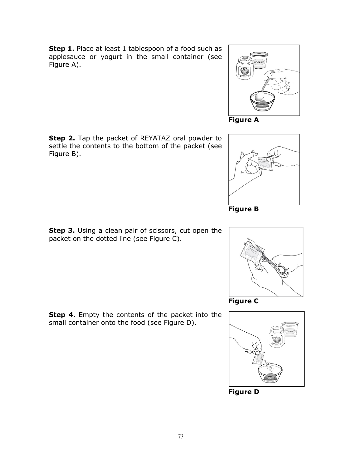**Step 1.** Place at least 1 tablespoon of a food such as applesauce or yogurt in the small container (see Figure A).

**Step 2.** Tap the packet of REYATAZ oral powder to settle the contents to the bottom of the packet (see Figure B).

**Step 3.** Using a clean pair of scissors, cut open the packet on the dotted line (see Figure C).













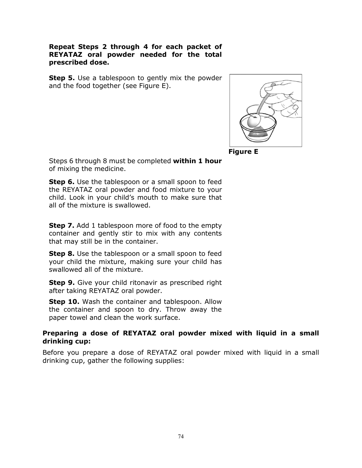### **Repeat Steps 2 through 4 for each packet of REYATAZ oral powder needed for the total prescribed dose.**

**Step 5.** Use a tablespoon to gently mix the powder and the food together (see Figure E).



**Figure E**

Steps 6 through 8 must be completed **within 1 hour** of mixing the medicine.

**Step 6.** Use the tablespoon or a small spoon to feed the REYATAZ oral powder and food mixture to your child. Look in your child's mouth to make sure that all of the mixture is swallowed.

**Step 7.** Add 1 tablespoon more of food to the empty container and gently stir to mix with any contents that may still be in the container.

**Step 8.** Use the tablespoon or a small spoon to feed your child the mixture, making sure your child has swallowed all of the mixture.

**Step 9.** Give your child ritonavir as prescribed right after taking REYATAZ oral powder.

**Step 10.** Wash the container and tablespoon. Allow the container and spoon to dry. Throw away the paper towel and clean the work surface.

# **Preparing a dose of REYATAZ oral powder mixed with liquid in a small drinking cup:**

Before you prepare a dose of REYATAZ oral powder mixed with liquid in a small drinking cup, gather the following supplies: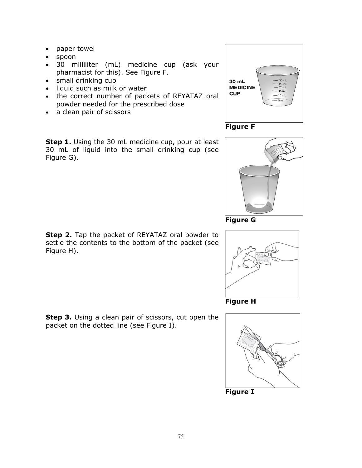- paper towel
- spoon
- 30 milliliter (mL) medicine cup (ask your pharmacist for this). See Figure F.
- small drinking cup
- liquid such as milk or water
- the correct number of packets of REYATAZ oral powder needed for the prescribed dose
- a clean pair of scissors

**Step 1.** Using the 30 mL medicine cup, pour at least 30 mL of liquid into the small drinking cup (see Figure G).















**Figure H**



75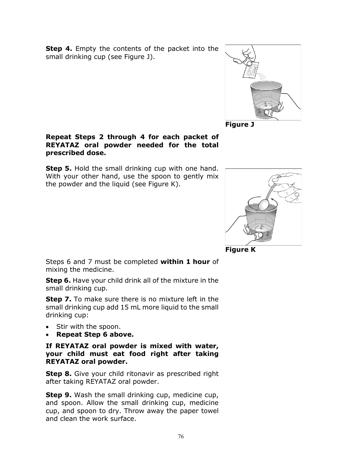**Step 4.** Empty the contents of the packet into the small drinking cup (see Figure J).



**Figure J**

## **Repeat Steps 2 through 4 for each packet of REYATAZ oral powder needed for the total prescribed dose.**

**Step 5.** Hold the small drinking cup with one hand. With your other hand, use the spoon to gently mix the powder and the liquid (see Figure K).



**Figure K**

Steps 6 and 7 must be completed **within 1 hour** of mixing the medicine.

**Step 6.** Have your child drink all of the mixture in the small drinking cup.

**Step 7.** To make sure there is no mixture left in the small drinking cup add 15 mL more liquid to the small drinking cup:

- Stir with the spoon.
- **Repeat Step 6 above.**

**If REYATAZ oral powder is mixed with water, your child must eat food right after taking REYATAZ oral powder.**

**Step 8.** Give your child ritonavir as prescribed right after taking REYATAZ oral powder.

**Step 9.** Wash the small drinking cup, medicine cup, and spoon. Allow the small drinking cup, medicine cup, and spoon to dry. Throw away the paper towel and clean the work surface.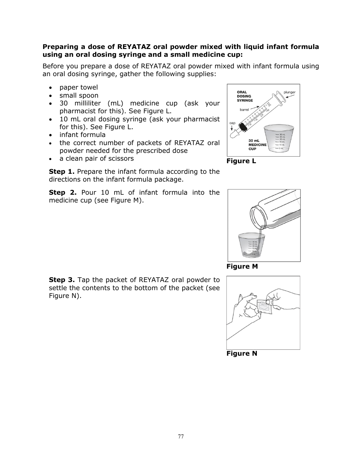### **Preparing a dose of REYATAZ oral powder mixed with liquid infant formula using an oral dosing syringe and a small medicine cup:**

Before you prepare a dose of REYATAZ oral powder mixed with infant formula using an oral dosing syringe, gather the following supplies:

- paper towel
- small spoon
- 30 milliliter (mL) medicine cup (ask your pharmacist for this). See Figure L.
- 10 mL oral dosing syringe (ask your pharmacist for this). See Figure L.
- infant formula
- the correct number of packets of REYATAZ oral powder needed for the prescribed dose
- a clean pair of scissors **Figure L**

**Step 1.** Prepare the infant formula according to the directions on the infant formula package.

**Step 2.** Pour 10 mL of infant formula into the medicine cup (see Figure M).





**Figure M**

**Step 3.** Tap the packet of REYATAZ oral powder to settle the contents to the bottom of the packet (see Figure N).



**Figure N**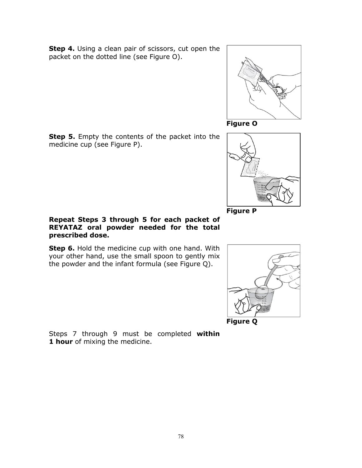**Step 4.** Using a clean pair of scissors, cut open the packet on the dotted line (see Figure O).



**Figure O**

**Step 5.** Empty the contents of the packet into the medicine cup (see Figure P).



**Step 6.** Hold the medicine cup with one hand. With your other hand, use the small spoon to gently mix the powder and the infant formula (see Figure Q).





Steps 7 through 9 must be completed **within 1 hour** of mixing the medicine.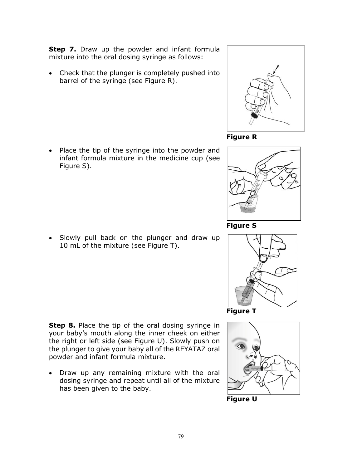**Step 7.** Draw up the powder and infant formula mixture into the oral dosing syringe as follows:

• Check that the plunger is completely pushed into barrel of the syringe (see Figure R).

Place the tip of the syringe into the powder and infant formula mixture in the medicine cup (see Figure S).

• Slowly pull back on the plunger and draw up 10 mL of the mixture (see Figure T).

**Step 8.** Place the tip of the oral dosing syringe in your baby's mouth along the inner cheek on either the right or left side (see Figure U). Slowly push on the plunger to give your baby all of the REYATAZ oral powder and infant formula mixture.

• Draw up any remaining mixture with the oral dosing syringe and repeat until all of the mixture has been given to the baby.







**Figure S**